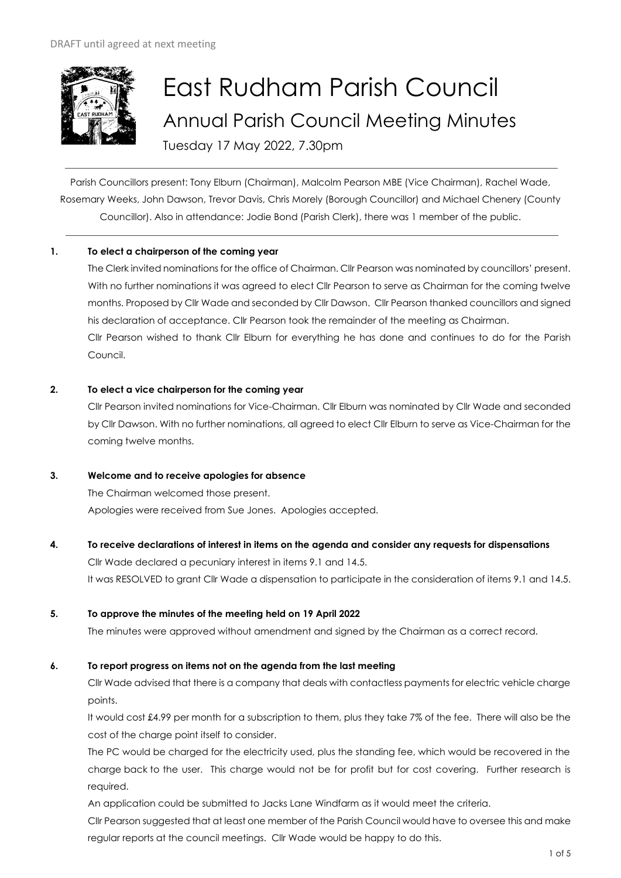

# East Rudham Parish Council Annual Parish Council Meeting Minutes Tuesday 17 May 2022, 7.30pm

Parish Councillors present: Tony Elburn (Chairman), Malcolm Pearson MBE (Vice Chairman), Rachel Wade, Rosemary Weeks, John Dawson, Trevor Davis, Chris Morely (Borough Councillor) and Michael Chenery (County Councillor). Also in attendance: Jodie Bond (Parish Clerk), there was 1 member of the public.

# **1. To elect a chairperson of the coming year**

The Clerk invited nominations for the office of Chairman. Cllr Pearson was nominated by councillors' present. With no further nominations it was agreed to elect Cllr Pearson to serve as Chairman for the coming twelve months. Proposed by Cllr Wade and seconded by Cllr Dawson. Cllr Pearson thanked councillors and signed his declaration of acceptance. Cllr Pearson took the remainder of the meeting as Chairman. Cllr Pearson wished to thank Cllr Elburn for everything he has done and continues to do for the Parish Council.

#### **2. To elect a vice chairperson for the coming year**

Cllr Pearson invited nominations for Vice-Chairman. Cllr Elburn was nominated by Cllr Wade and seconded by Cllr Dawson. With no further nominations, all agreed to elect Cllr Elburn to serve as Vice-Chairman for the coming twelve months.

#### **3. Welcome and to receive apologies for absence**

The Chairman welcomed those present. Apologies were received from Sue Jones. Apologies accepted.

# **4. To receive declarations of interest in items on the agenda and consider any requests for dispensations**

Cllr Wade declared a pecuniary interest in items 9.1 and 14.5. It was RESOLVED to grant Cllr Wade a dispensation to participate in the consideration of items 9.1 and 14.5.

# **5. To approve the minutes of the meeting held on 19 April 2022**

The minutes were approved without amendment and signed by the Chairman as a correct record.

# **6. To report progress on items not on the agenda from the last meeting**

Cllr Wade advised that there is a company that deals with contactless payments for electric vehicle charge points.

It would cost £4.99 per month for a subscription to them, plus they take 7% of the fee. There will also be the cost of the charge point itself to consider.

The PC would be charged for the electricity used, plus the standing fee, which would be recovered in the charge back to the user. This charge would not be for profit but for cost covering. Further research is required.

An application could be submitted to Jacks Lane Windfarm as it would meet the criteria.

Cllr Pearson suggested that at least one member of the Parish Council would have to oversee this and make regular reports at the council meetings. Cllr Wade would be happy to do this.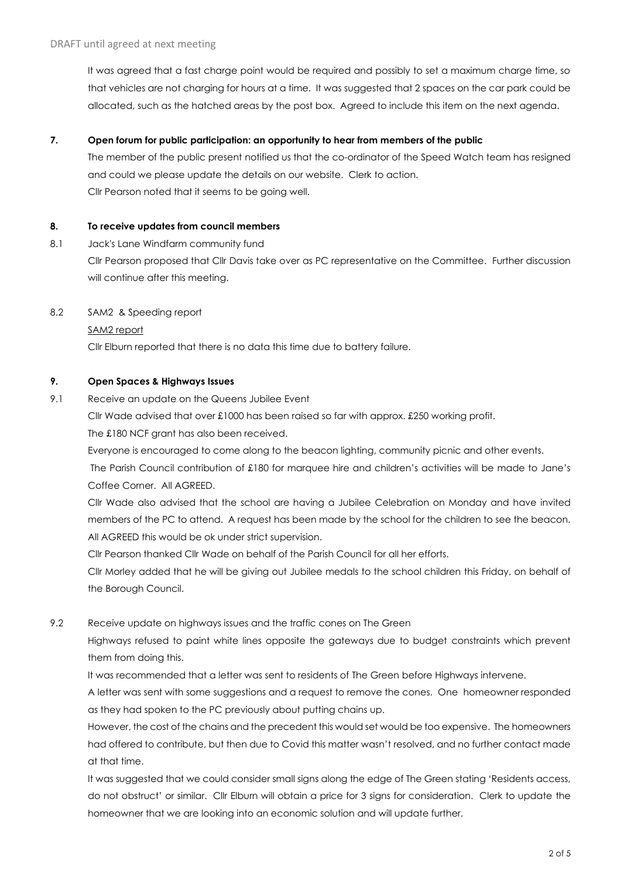It was agreed that a fast charge point would be required and possibly to set a maximum charge time, so that vehicles are not charging for hours at a time. It was suggested that 2 spaces on the car park could be allocated, such as the hatched areas by the post box. Agreed to include this item on the next agenda.

### **7. Open forum for public participation: an opportunity to hear from members of the public**

The member of the public present notified us that the co-ordinator of the Speed Watch team has resigned and could we please update the details on our website. Clerk to action. Cllr Pearson noted that it seems to be going well.

#### **8. To receive updates from council members**

- 8.1 Jack's Lane Windfarm community fund Cllr Pearson proposed that Cllr Davis take over as PC representative on the Committee. Further discussion will continue after this meeting.
- 8.2 SAM2 & Speeding report

#### SAM2 report

Cllr Elburn reported that there is no data this time due to battery failure.

# **9. Open Spaces & Highways Issues**

9.1 Receive an update on the Queens Jubilee Event

Cllr Wade advised that over £1000 has been raised so far with approx. £250 working profit.

The £180 NCF grant has also been received.

Everyone is encouraged to come along to the beacon lighting, community picnic and other events.

The Parish Council contribution of £180 for marquee hire and children's activities will be made to Jane's Coffee Corner. All AGREED.

Cllr Wade also advised that the school are having a Jubilee Celebration on Monday and have invited members of the PC to attend. A request has been made by the school for the children to see the beacon. All AGREED this would be ok under strict supervision.

Cllr Pearson thanked Cllr Wade on behalf of the Parish Council for all her efforts.

Cllr Morley added that he will be giving out Jubilee medals to the school children this Friday, on behalf of the Borough Council.

9.2 Receive update on highways issues and the traffic cones on The Green

Highways refused to paint white lines opposite the gateways due to budget constraints which prevent them from doing this.

It was recommended that a letter was sent to residents of The Green before Highways intervene.

A letter was sent with some suggestions and a request to remove the cones. One homeowner responded as they had spoken to the PC previously about putting chains up.

However, the cost of the chains and the precedent this would set would be too expensive. The homeowners had offered to contribute, but then due to Covid this matter wasn't resolved, and no further contact made at that time.

It was suggested that we could consider small signs along the edge of The Green stating 'Residents access, do not obstruct' or similar. Cllr Elburn will obtain a price for 3 signs for consideration. Clerk to update the homeowner that we are looking into an economic solution and will update further.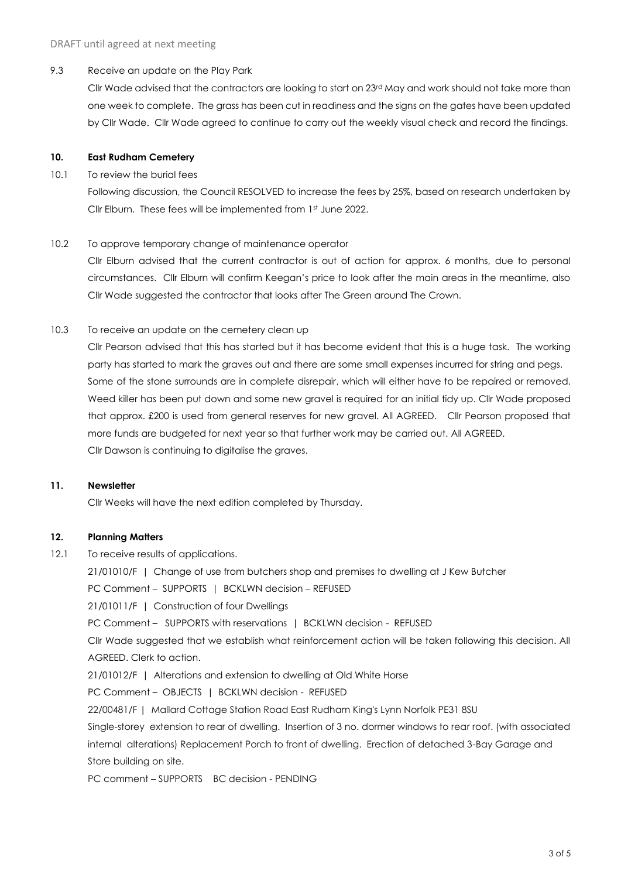#### 9.3 Receive an update on the Play Park

Cllr Wade advised that the contractors are looking to start on 23<sup>rd</sup> May and work should not take more than one week to complete. The grass has been cut in readiness and the signs on the gates have been updated by Cllr Wade. Cllr Wade agreed to continue to carry out the weekly visual check and record the findings.

#### **10. East Rudham Cemetery**

#### 10.1 To review the burial fees

Following discussion, the Council RESOLVED to increase the fees by 25%, based on research undertaken by Cllr Elburn. These fees will be implemented from 1st June 2022.

#### 10.2 To approve temporary change of maintenance operator

Cllr Elburn advised that the current contractor is out of action for approx. 6 months, due to personal circumstances. Cllr Elburn will confirm Keegan's price to look after the main areas in the meantime, also Cllr Wade suggested the contractor that looks after The Green around The Crown.

#### 10.3 To receive an update on the cemetery clean up

Cllr Pearson advised that this has started but it has become evident that this is a huge task. The working party has started to mark the graves out and there are some small expenses incurred for string and pegs. Some of the stone surrounds are in complete disrepair, which will either have to be repaired or removed. Weed killer has been put down and some new gravel is required for an initial tidy up. Cllr Wade proposed that approx. £200 is used from general reserves for new gravel. All AGREED. Cllr Pearson proposed that more funds are budgeted for next year so that further work may be carried out. All AGREED. Cllr Dawson is continuing to digitalise the graves.

#### **11. Newsletter**

Cllr Weeks will have the next edition completed by Thursday.

# **12. Planning Matters**

12.1 To receive results of applications.

21/01010/F | Change of use from butchers shop and premises to dwelling at J Kew Butcher

PC Comment – SUPPORTS | BCKLWN decision – REFUSED

21/01011/F | Construction of four Dwellings

PC Comment - SUPPORTS with reservations | BCKLWN decision - REFUSED

Cllr Wade suggested that we establish what reinforcement action will be taken following this decision. All AGREED. Clerk to action.

21/01012/F | Alterations and extension to dwelling at Old White Horse

PC Comment - OBJECTS | BCKLWN decision - REFUSED

22/00481/F | Mallard Cottage Station Road East Rudham King's Lynn Norfolk PE31 8SU

Single-storey extension to rear of dwelling. Insertion of 3 no. dormer windows to rear roof. (with associated internal alterations) Replacement Porch to front of dwelling. Erection of detached 3-Bay Garage and Store building on site.

PC comment – SUPPORTS BC decision - PENDING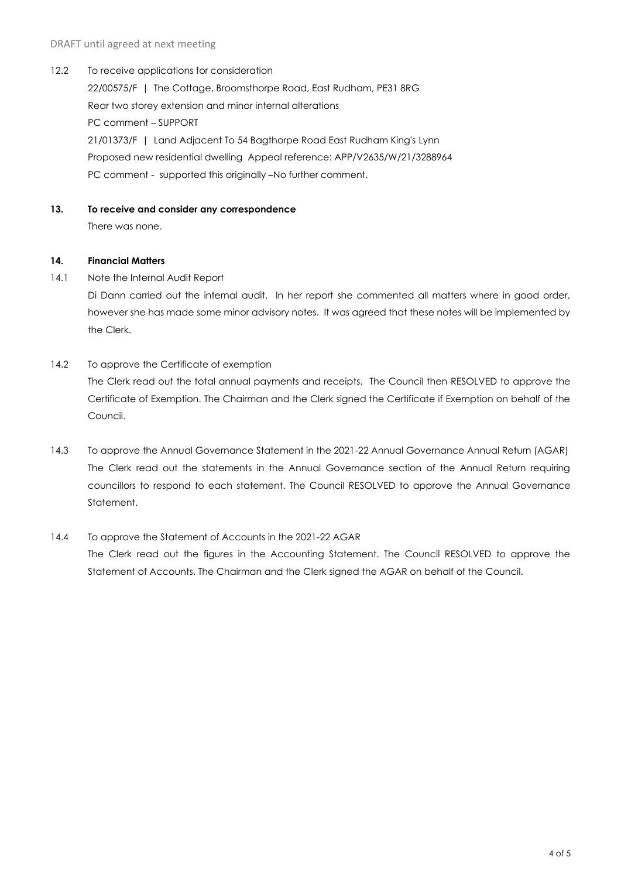12.2 To receive applications for consideration

22/00575/F | The Cottage, Broomsthorpe Road, East Rudham, PE31 8RG Rear two storey extension and minor internal alterations PC comment – SUPPORT 21/01373/F | Land Adjacent To 54 Bagthorpe Road East Rudham King's Lynn Proposed new residential dwelling Appeal reference: APP/V2635/W/21/3288964 PC comment - supported this originally –No further comment.

#### **13. To receive and consider any correspondence**

There was none.

#### **14. Financial Matters**

14.1 Note the Internal Audit Report

Di Dann carried out the internal audit. In her report she commented all matters where in good order, however she has made some minor advisory notes. It was agreed that these notes will be implemented by the Clerk.

14.2 To approve the Certificate of exemption

The Clerk read out the total annual payments and receipts. The Council then RESOLVED to approve the Certificate of Exemption. The Chairman and the Clerk signed the Certificate if Exemption on behalf of the Council.

- 14.3 To approve the Annual Governance Statement in the 2021-22 Annual Governance Annual Return (AGAR) The Clerk read out the statements in the Annual Governance section of the Annual Return requiring councillors to respond to each statement. The Council RESOLVED to approve the Annual Governance Statement.
- 14.4 To approve the Statement of Accounts in the 2021-22 AGAR The Clerk read out the figures in the Accounting Statement. The Council RESOLVED to approve the Statement of Accounts. The Chairman and the Clerk signed the AGAR on behalf of the Council.